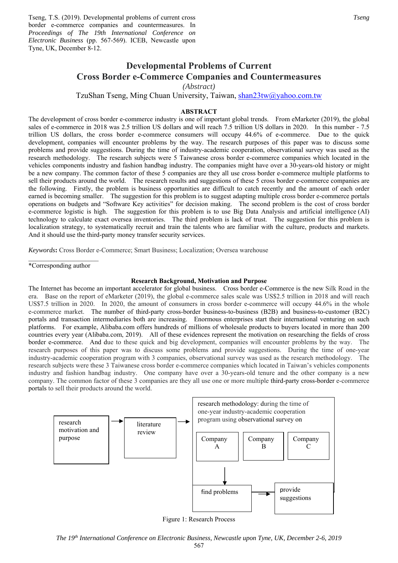Tseng, T.S. (2019). Developmental problems of current cross border e-commerce companies and countermeasures. In *Proceedings of The 19th International Conference on Electronic Business* (pp. 567-569). ICEB, Newcastle upon Tyne, UK, December 8-12.

# **Developmental Problems of Current Cross Border e-Commerce Companies and Countermeasures**

*(Abstract)* 

TzuShan Tseng, Ming Chuan University, Taiwan, shan23tw@yahoo.com.tw

### **ABSTRACT**

The development of cross border e-commerce industry is one of important global trends. From eMarketer (2019), the global sales of e-commerce in 2018 was 2.5 trillion US dollars and will reach 7.5 trillion US dollars in 2020. In this number - 7.5 trillion US dollars, the cross border e-commerce consumers will occupy 44.6% of e-commerce. Due to the quick development, companies will encounter problems by the way. The research purposes of this paper was to discuss some problems and provide suggestions. During the time of industry-academic cooperation, observational survey was used as the research methodology. The research subjects were 5 Taiwanese cross border e-commerce companies which located in the vehicles components industry and fashion handbag industry. The companies might have over a 30-years-old history or might be a new company. The common factor of these 5 companies are they all use cross border e-commerce multiple platforms to sell their products around the world. The research results and suggestions of these 5 cross border e-commerce companies are the following. Firstly, the problem is business opportunities are difficult to catch recently and the amount of each order earned is becoming smaller. The suggestion for this problem is to suggest adapting multiple cross border e-commerce portals operations on budgets and "Software Key activities" for decision making. The second problem is the cost of cross border e-commerce logistic is high. The suggestion for this problem is to use Big Data Analysis and artificial intelligence (AI) technology to calculate exact oversea inventories. The third problem is lack of trust. The suggestion for this problem is localization strategy, to systematically recruit and train the talents who are familiar with the culture, products and markets. And it should use the third-party money transfer security services.

*Keywords***:** Cross Border e-Commerce; Smart Business; Localization; Oversea warehouse

\*Corresponding author

#### **Research Background, Motivation and Purpose**

The Internet has become an important accelerator for global business. Cross border e-Commerce is the new Silk Road in the era. Base on the report of eMarketer (2019), the global e-commerce sales scale was US\$2.5 trillion in 2018 and will reach US\$7.5 trillion in 2020. In 2020, the amount of consumers in cross border e-commerce will occupy 44.6% in the whole e-commerce market. The number of third-party cross-border business-to-business (B2B) and business-to-customer (B2C) portals and transaction intermediaries both are increasing. Enormous enterprises start their international venturing on such platforms. For example, Alibaba.com offers hundreds of millions of wholesale products to buyers located in more than 200 countries every year (Alibaba.com, 2019). All of these evidences represent the motivation on researching the fields of cross border e-commerce. And due to these quick and big development, companies will encounter problems by the way. The research purposes of this paper was to discuss some problems and provide suggestions. During the time of one-year industry-academic cooperation program with 3 companies, observational survey was used as the research methodology. The research subjects were these 3 Taiwanese cross border e-commerce companies which located in Taiwan's vehicles components industry and fashion handbag industry. One company have over a 30-years-old tenure and the other company is a new company. The common factor of these 3 companies are they all use one or more multiple third-party cross-border e-commerce portals to sell their products around the world.



Figure 1: Research Process

*The 19th International Conference on Electronic Business, Newcastle upon Tyne, UK, December 2-6, 2019*  567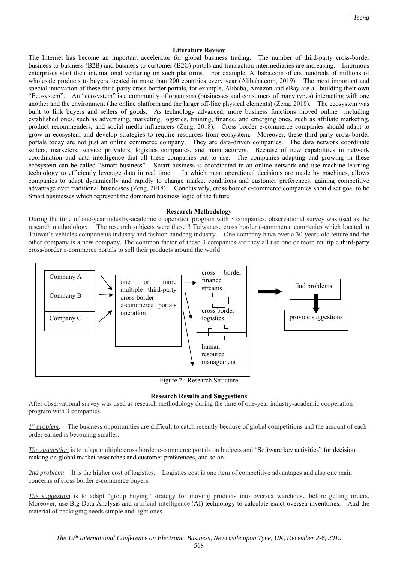#### **Literature Review**

The Internet has become an important accelerator for global business trading. The number of third-party cross-border business-to-business (B2B) and business-to-customer (B2C) portals and transaction intermediaries are increasing. Enormous enterprises start their international venturing on such platforms. For example, Alibaba.com offers hundreds of millions of wholesale products to buyers located in more than 200 countries every year (Alibaba.com, 2019). The most important and special innovation of these third-party cross-border portals, for example, Alibaba, Amazon and eBay are all building their own "Ecosystem". An "ecosystem" is a community of organisms (businesses and consumers of many types) interacting with one another and the environment (the online platform and the larger off-line physical elements) (Zeng, 2018). The ecosystem was built to link buyers and sellers of goods. As technology advanced, more business functions moved online—including established ones, such as advertising, marketing, logistics, training, finance, and emerging ones, such as affiliate marketing, product recommenders, and social media influencers (Zeng, 2018). Cross border e-commerce companies should adapt to grow in ecosystem and develop strategies to require resources from ecosystem. Moreover, these third-party cross-border portals today are not just an online commerce company. They are data-driven companies. The data network coordinate sellers, marketers, service providers, logistics companies, and manufacturers. Because of new capabilities in network coordination and data intelligence that all these companies put to use. The companies adapting and growing in these ecosystem can be called "Smart business". Smart business is coordinated in an online network and use machine-learning technology to efficiently leverage data in real time. In which most operational decisions are made by machines, allows companies to adapt dynamically and rapidly to change market conditions and customer preferences, gaining competitive advantage over traditional businesses (Zeng, 2018). Conclusively, cross border e-commerce companies should set goal to be Smart businesses which represent the dominant business logic of the future.

#### **Research Methodology**

During the time of one-year industry-academic cooperation program with 3 companies, observational survey was used as the research methodology. The research subjects were these 3 Taiwanese cross border e-commerce companies which located in Taiwan's vehicles components industry and fashion handbag industry. One company have over a 30-years-old tenure and the other company is a new company. The common factor of these 3 companies are they all use one or more multiple third-party cross-border e-commerce portals to sell their products around the world.





### **Research Results and Suggestions**

After observational survey was used as research methodology during the time of one-year industry-academic cooperation program with 3 companies.

*1st problem:* The business opportunities are difficult to catch recently because of global competitions and the amount of each order earned is becoming smaller.

*The suggestion* is to adapt multiple cross border e-commerce portals on budgets and "Software key activities" for decision making on global market researches and customer preferences, and so on.

2nd problem: It is the higher cost of logistics. Logistics cost is one item of competitive advantages and also one main concerns of cross border e-commerce buyers.

*The suggestion* is to adapt "group buying" strategy for moving products into oversea warehouse before getting orders. Moreover, use Big Data Analysis and artificial intelligence (AI) technology to calculate exact oversea inventories. And the material of packaging needs simple and light ones.